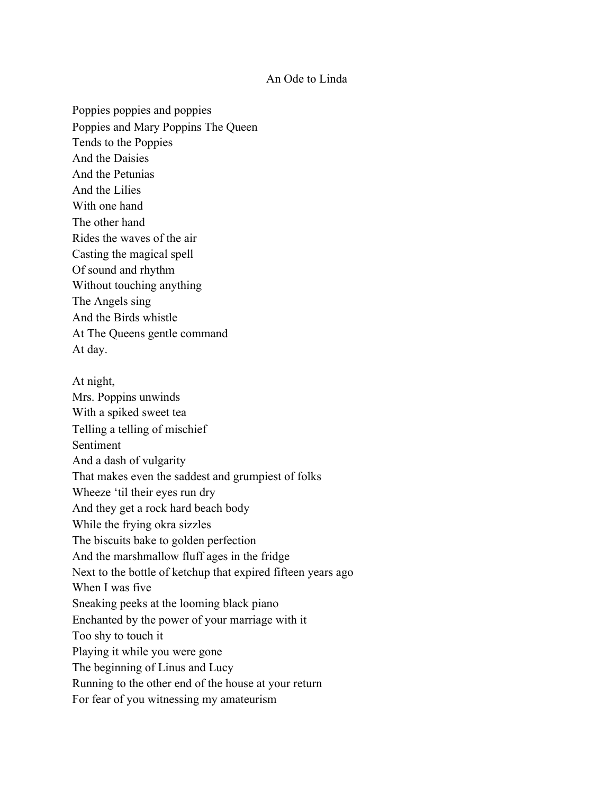## An Ode to Linda

Poppies poppies and poppies Poppies and Mary Poppins The Queen Tends to the Poppies And the Daisies And the Petunias And the Lilies With one hand The other hand Rides the waves of the air Casting the magical spell Of sound and rhythm Without touching anything The Angels sing And the Birds whistle At The Queens gentle command At day. At night, Mrs. Poppins unwinds With a spiked sweet tea Telling a telling of mischief Sentiment

And a dash of vulgarity That makes even the saddest and grumpiest of folks Wheeze 'til their eyes run dry And they get a rock hard beach body While the frying okra sizzles The biscuits bake to golden perfection And the marshmallow fluff ages in the fridge Next to the bottle of ketchup that expired fifteen years ago When I was five Sneaking peeks at the looming black piano Enchanted by the power of your marriage with it Too shy to touch it Playing it while you were gone The beginning of Linus and Lucy Running to the other end of the house at your return

For fear of you witnessing my amateurism